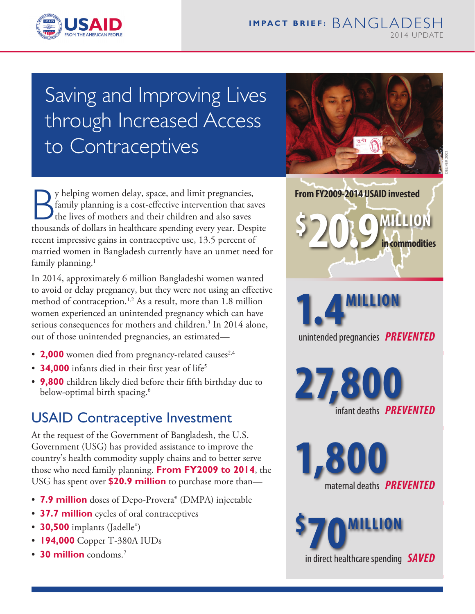

# Saving and Improving Lives through Increased Access to Contraceptives



Sy helping women delay, space, and limit pregnancies,<br>family planning is a cost-effective intervention that saves<br>thousands of dollars in healthcare spending every year. Despite y helping women delay, space, and limit pregnancies, family planning is a cost-effective intervention that saves the lives of mothers and their children and also saves recent impressive gains in contraceptive use, 13.5 percent of married women in Bangladesh currently have an unmet need for family planning.<sup>1</sup>

In 2014, approximately 6 million Bangladeshi women wanted to avoid or delay pregnancy, but they were not using an effective method of contraception.<sup>1,2</sup> As a result, more than 1.8 million women experienced an unintended pregnancy which can have serious consequences for mothers and children.<sup>3</sup> In 2014 alone, out of those unintended pregnancies, an estimated—

- **2,000** women died from pregnancy-related causes<sup>2,4</sup>
- **34,000** infants died in their first year of life<sup>5</sup>
- **9,800** children likely died before their fifth birthday due to below-optimal birth spacing.<sup>6</sup>

## USAID Contraceptive Investment

At the request of the Government of Bangladesh, the U.S. Government (USG) has provided assistance to improve the country's health commodity supply chains and to better serve those who need family planning. **From FY2009 to 2014**, the USG has spent over **\$20.9 million** to purchase more than—

- **7.9 million** doses of Depo-Provera<sup>®</sup> (DMPA) injectable
- • **37.7 million** cycles of oral contraceptives
- **30,500** implants (Jadelle®)
- **194,000** Copper T-380A IUDs
- **30 million** condoms.<sup>7</sup>

**MILLION From FY2009-2014 USAID invested in commodities** 

unintended pregnancies *PREVENTED* **1.4MILLION** 

**27,80** infant deaths *PREVENTED*

maternal deaths *PREVENTED*

**70MILLION** 

in direct healthcare spending *SAVED*

**1,800** 

**\$**